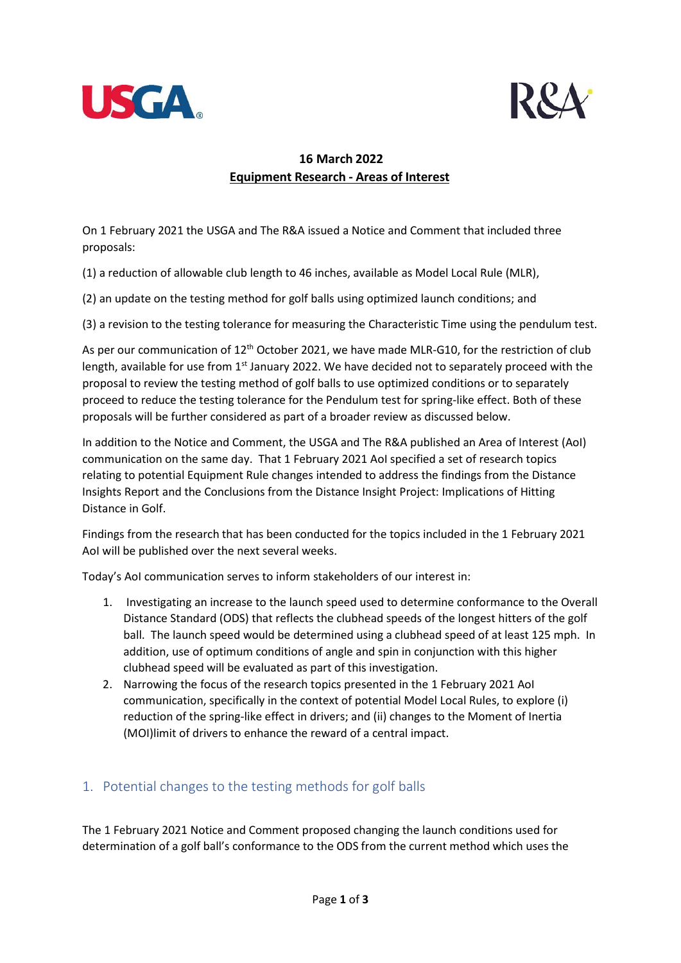



## **16 March 2022 Equipment Research - Areas of Interest**

On 1 February 2021 the USGA and The R&A issued a Notice and Comment that included three proposals:

(1) a reduction of allowable club length to 46 inches, available as Model Local Rule (MLR),

(2) an update on the testing method for golf balls using optimized launch conditions; and

(3) a revision to the testing tolerance for measuring the Characteristic Time using the pendulum test.

As per our communication of 12<sup>th</sup> October 2021, we have made MLR-G10, for the restriction of club length, available for use from 1<sup>st</sup> January 2022. We have decided not to separately proceed with the proposal to review the testing method of golf balls to use optimized conditions or to separately proceed to reduce the testing tolerance for the Pendulum test for spring-like effect. Both of these proposals will be further considered as part of a broader review as discussed below.

In addition to the Notice and Comment, the USGA and The R&A published an Area of Interest (AoI) communication on the same day. That 1 February 2021 AoI specified a set of research topics relating to potential Equipment Rule changes intended to address the findings from the Distance Insights Report and the Conclusions from the Distance Insight Project: Implications of Hitting Distance in Golf.

Findings from the research that has been conducted for the topics included in the 1 February 2021 AoI will be published over the next several weeks.

Today's AoI communication serves to inform stakeholders of our interest in:

- 1. Investigating an increase to the launch speed used to determine conformance to the Overall Distance Standard (ODS) that reflects the clubhead speeds of the longest hitters of the golf ball. The launch speed would be determined using a clubhead speed of at least 125 mph. In addition, use of optimum conditions of angle and spin in conjunction with this higher clubhead speed will be evaluated as part of this investigation.
- 2. Narrowing the focus of the research topics presented in the 1 February 2021 AoI communication, specifically in the context of potential Model Local Rules, to explore (i) reduction of the spring-like effect in drivers; and (ii) changes to the Moment of Inertia (MOI)limit of drivers to enhance the reward of a central impact.

## 1. Potential changes to the testing methods for golf balls

The 1 February 2021 Notice and Comment proposed changing the launch conditions used for determination of a golf ball's conformance to the ODS from the current method which uses the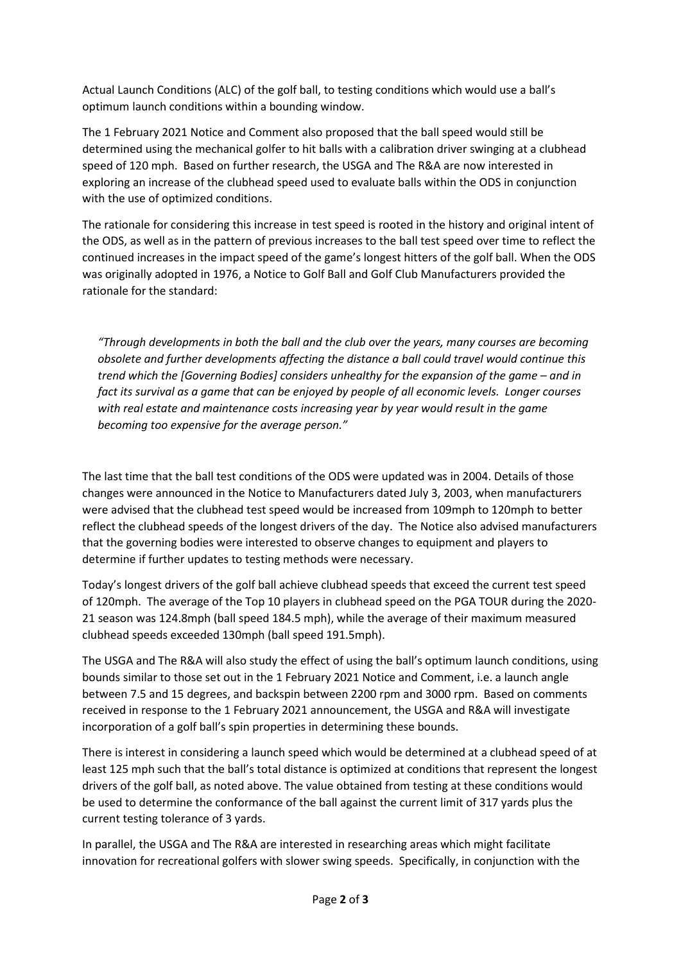Actual Launch Conditions (ALC) of the golf ball, to testing conditions which would use a ball's optimum launch conditions within a bounding window.

The 1 February 2021 Notice and Comment also proposed that the ball speed would still be determined using the mechanical golfer to hit balls with a calibration driver swinging at a clubhead speed of 120 mph. Based on further research, the USGA and The R&A are now interested in exploring an increase of the clubhead speed used to evaluate balls within the ODS in conjunction with the use of optimized conditions.

The rationale for considering this increase in test speed is rooted in the history and original intent of the ODS, as well as in the pattern of previous increases to the ball test speed over time to reflect the continued increases in the impact speed of the game's longest hitters of the golf ball. When the ODS was originally adopted in 1976, a Notice to Golf Ball and Golf Club Manufacturers provided the rationale for the standard:

*"Through developments in both the ball and the club over the years, many courses are becoming obsolete and further developments affecting the distance a ball could travel would continue this trend which the [Governing Bodies] considers unhealthy for the expansion of the game – and in fact its survival as a game that can be enjoyed by people of all economic levels. Longer courses with real estate and maintenance costs increasing year by year would result in the game becoming too expensive for the average person."*

The last time that the ball test conditions of the ODS were updated was in 2004. Details of those changes were announced in the Notice to Manufacturers dated July 3, 2003, when manufacturers were advised that the clubhead test speed would be increased from 109mph to 120mph to better reflect the clubhead speeds of the longest drivers of the day. The Notice also advised manufacturers that the governing bodies were interested to observe changes to equipment and players to determine if further updates to testing methods were necessary.

Today's longest drivers of the golf ball achieve clubhead speeds that exceed the current test speed of 120mph. The average of the Top 10 players in clubhead speed on the PGA TOUR during the 2020- 21 season was 124.8mph (ball speed 184.5 mph), while the average of their maximum measured clubhead speeds exceeded 130mph (ball speed 191.5mph).

The USGA and The R&A will also study the effect of using the ball's optimum launch conditions, using bounds similar to those set out in the 1 February 2021 Notice and Comment, i.e. a launch angle between 7.5 and 15 degrees, and backspin between 2200 rpm and 3000 rpm. Based on comments received in response to the 1 February 2021 announcement, the USGA and R&A will investigate incorporation of a golf ball's spin properties in determining these bounds.

There is interest in considering a launch speed which would be determined at a clubhead speed of at least 125 mph such that the ball's total distance is optimized at conditions that represent the longest drivers of the golf ball, as noted above. The value obtained from testing at these conditions would be used to determine the conformance of the ball against the current limit of 317 yards plus the current testing tolerance of 3 yards.

In parallel, the USGA and The R&A are interested in researching areas which might facilitate innovation for recreational golfers with slower swing speeds. Specifically, in conjunction with the